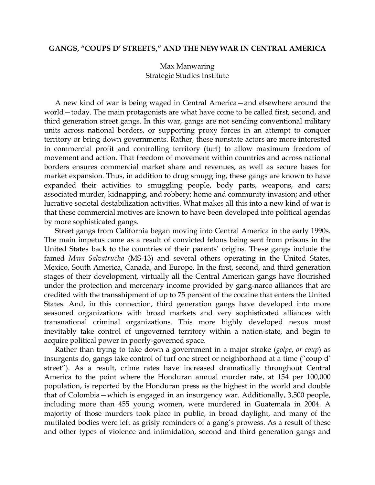## **GANGS, "COUPS D' STREETS," AND THE NEW WAR IN CENTRAL AMERICA**

Max Manwaring Strategic Studies Institute

 A new kind of war is being waged in Central America—and elsewhere around the world—today. The main protagonists are what have come to be called first, second, and third generation street gangs. In this war, gangs are not sending conventional military units across national borders, or supporting proxy forces in an attempt to conquer territory or bring down governments. Rather, these nonstate actors are more interested in commercial profit and controlling territory (turf) to allow maximum freedom of movement and action. That freedom of movement within countries and across national borders ensures commercial market share and revenues, as well as secure bases for market expansion. Thus, in addition to drug smuggling, these gangs are known to have expanded their activities to smuggling people, body parts, weapons, and cars; associated murder, kidnapping, and robbery; home and community invasion; and other lucrative societal destabilization activities. What makes all this into a new kind of war is that these commercial motives are known to have been developed into political agendas by more sophisticated gangs.

 Street gangs from California began moving into Central America in the early 1990s. The main impetus came as a result of convicted felons being sent from prisons in the United States back to the countries of their parents' origins. These gangs include the famed *Mara Salvatrucha* (MS-13) and several others operating in the United States, Mexico, South America, Canada, and Europe. In the first, second, and third generation stages of their development, virtually all the Central American gangs have flourished under the protection and mercenary income provided by gang-narco alliances that are credited with the transshipment of up to 75 percent of the cocaine that enters the United States. And, in this connection, third generation gangs have developed into more seasoned organizations with broad markets and very sophisticated alliances with transnational criminal organizations. This more highly developed nexus must inevitably take control of ungoverned territory within a nation-state, and begin to acquire political power in poorly-governed space.

 Rather than trying to take down a government in a major stroke (*golpe*, *or coup*) as insurgents do, gangs take control of turf one street or neighborhood at a time ("coup d' street"). As a result, crime rates have increased dramatically throughout Central America to the point where the Honduran annual murder rate, at 154 per 100,000 population, is reported by the Honduran press as the highest in the world and double that of Colombia—which is engaged in an insurgency war. Additionally, 3,500 people, including more than 455 young women, were murdered in Guatemala in 2004. A majority of those murders took place in public, in broad daylight, and many of the mutilated bodies were left as grisly reminders of a gang's prowess. As a result of these and other types of violence and intimidation, second and third generation gangs and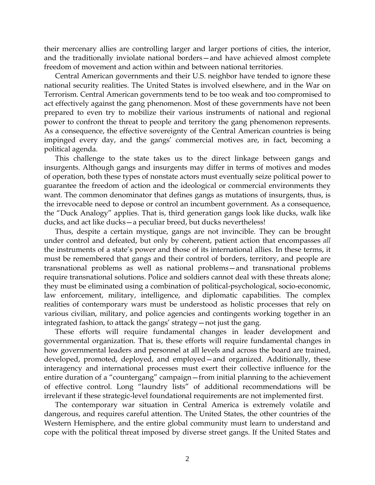their mercenary allies are controlling larger and larger portions of cities, the interior, and the traditionally inviolate national borders—and have achieved almost complete freedom of movement and action within and between national territories.

Central American governments and their U.S. neighbor have tended to ignore these national security realities. The United States is involved elsewhere, and in the War on Terrorism. Central American governments tend to be too weak and too compromised to act effectively against the gang phenomenon. Most of these governments have not been prepared to even try to mobilize their various instruments of national and regional power to confront the threat to people and territory the gang phenomenon represents. As a consequence, the effective sovereignty of the Central American countries is being impinged every day, and the gangs' commercial motives are, in fact, becoming a political agenda.

This challenge to the state takes us to the direct linkage between gangs and insurgents. Although gangs and insurgents may differ in terms of motives and modes of operation, both these types of nonstate actors must eventually seize political power to guarantee the freedom of action and the ideological or commercial environments they want. The common denominator that defines gangs as mutations of insurgents, thus, is the irrevocable need to depose or control an incumbent government. As a consequence, the "Duck Analogy" applies. That is, third generation gangs look like ducks, walk like ducks, and act like ducks—a peculiar breed, but ducks nevertheless!

Thus, despite a certain mystique, gangs are not invincible. They can be brought under control and defeated, but only by coherent, patient action that encompasses *all* the instruments of a state's power and those of its international allies. In these terms, it must be remembered that gangs and their control of borders, territory, and people are transnational problems as well as national problems—and transnational problems require transnational solutions. Police and soldiers cannot deal with these threats alone; they must be eliminated using a combination of political-psychological, socio-economic, law enforcement, military, intelligence, and diplomatic capabilities. The complex realities of contemporary wars must be understood as holistic processes that rely on various civilian, military, and police agencies and contingents working together in an integrated fashion, to attack the gangs' strategy—not just the gang.

These efforts will require fundamental changes in leader development and governmental organization. That is, these efforts will require fundamental changes in how governmental leaders and personnel at all levels and across the board are trained, developed, promoted, deployed, and employed—and organized. Additionally, these interagency and international processes must exert their collective influence for the entire duration of a "countergang" campaign—from initial planning to the achievement of effective control. Long "laundry lists" of additional recommendations will be irrelevant if these strategic-level foundational requirements are not implemented first.

The contemporary war situation in Central America is extremely volatile and dangerous, and requires careful attention. The United States, the other countries of the Western Hemisphere, and the entire global community must learn to understand and cope with the political threat imposed by diverse street gangs. If the United States and